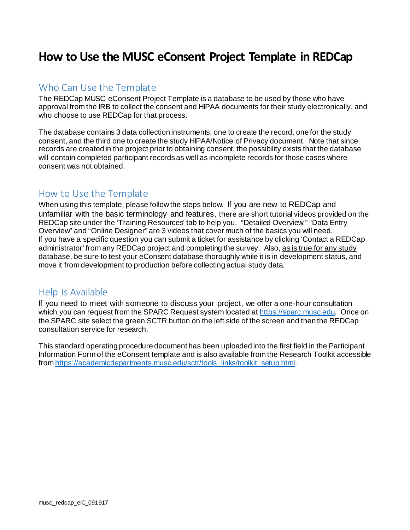# **How to Use the MUSC eConsent Project Template in REDCap**

## Who Can Use the Template

The REDCap MUSC eConsent Project Template is a database to be used by those who have approval from the IRB to collect the consent and HIPAA documents for their study electronically, and who choose to use REDCap for that process.

The database contains 3 data collection instruments, one to create the record, one for the study consent, and the third one to create the study HIPAA/Notice of Privacy document. Note that since records are created in the project prior to obtaining consent, the possibility exists that the database will contain completed participant records as well as incomplete records for those cases where consent was not obtained.

# How to Use the Template

When using this template, please follow the steps below. If you are new to REDCap and unfamiliar with the basic terminology and features, there are short tutorial videos provided on the REDCap site under the 'Training Resources' tab to help you. "Detailed Overview," "Data Entry Overview" and "Online Designer" are 3 videos that cover much of the basics you will need. If you have a specific question you can submit a ticket for assistance by clicking 'Contact a REDCap administrator' from any REDCap project and completing the survey. Also, as is true for any study database, be sure to test your eConsent database thoroughly while it is in development status, and move it from development to production before collecting actual study data.

# Help Is Available

If you need to meet with someone to discuss your project, we offer a one-hour consultation which you can request from the SPARC Request system located a[t https://sparc.musc.edu](https://sparc.musc.edu/). Once on the SPARC site select the green SCTR button on the left side of the screen and then the REDCap consultation service for research.

This standard operating procedure document has been uploaded into the first field in the Participant Information Form of the eConsent template and is also available from the Research Toolkit accessible fro[m https://academicdepartments.musc.edu/sctr/tools\\_links/toolkit\\_setup.html.](https://academicdepartments.musc.edu/sctr/tools_links/toolkit_setup.html)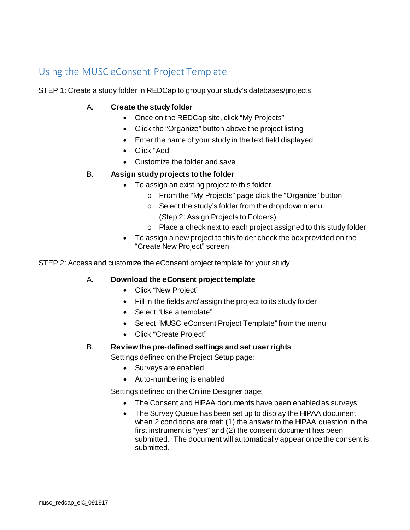# Using the MUSC eConsent Project Template

STEP 1: Create a study folder in REDCap to group your study's databases/projects

### A. **Create the study folder**

- Once on the REDCap site, click "My Projects"
- Click the "Organize" button above the project listing
- Enter the name of your study in the text field displayed
- Click "Add"
- Customize the folder and save

#### B. **Assign study projects to the folder**

- To assign an existing project to this folder
	- o From the "My Projects" page click the "Organize" button
	- o Select the study's folder from the dropdown menu (Step 2: Assign Projects to Folders)
	- o Place a check next to each project assigned to this study folder
- To assign a new project to this folder check the box provided on the "Create New Project" screen

STEP 2: Access and customize the eConsent project template for your study

#### A. **Download the eConsent project template**

- Click "New Project"
- Fill in the fields *and* assign the project to its study folder
- Select "Use a template"
- Select "MUSC eConsent Project Template" from the menu
- Click "Create Project"

#### B. **Review the pre-defined settings and set user rights**

Settings defined on the Project Setup page:

- Surveys are enabled
- Auto-numbering is enabled

Settings defined on the Online Designer page:

- The Consent and HIPAA documents have been enabled as surveys
- The Survey Queue has been set up to display the HIPAA document when 2 conditions are met: (1) the answer to the HIPAA question in the first instrument is "yes" and (2) the consent document has been submitted. The document will automatically appear once the consent is submitted.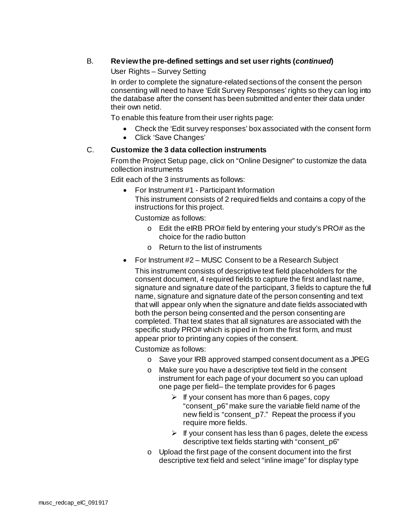### B. **Review the pre-defined settings and set user rights (***continued***)**

#### User Rights – Survey Setting

In order to complete the signature-related sections of the consent the person consenting will need to have 'Edit Survey Responses' rights so they can log into the database after the consent has been submitted and enter their data under their own netid.

To enable this feature from their user rights page:

- Check the 'Edit survey responses' box associated with the consent form
- Click 'Save Changes'

#### C. **Customize the 3 data collection instruments**

From the Project Setup page, click on "Online Designer" to customize the data collection instruments

Edit each of the 3 instruments as follows:

• For Instrument #1 - Participant Information This instrument consists of 2 required fields and contains a copy of the instructions for this project.

Customize as follows:

- o Edit the eIRB PRO# field by entering your study's PRO# as the choice for the radio button
- o Return to the list of instruments
- For Instrument #2 MUSC Consent to be a Research Subject

This instrument consists of descriptive text field placeholders for the consent document, 4 required fields to capture the first and last name, signature and signature date of the participant, 3 fields to capture the full name, signature and signature date of the person consenting and text that will appear only when the signature and date fields associated with both the person being consented and the person consenting are completed. That text states that all signatures are associated with the specific study PRO# which is piped in from the first form, and must appear prior to printing any copies of the consent.

Customize as follows:

- o Save your IRB approved stamped consent document as a JPEG
- o Make sure you have a descriptive text field in the consent instrument for each page of your document so you can upload one page per field– the template provides for 6 pages
	- $\triangleright$  If your consent has more than 6 pages, copy "consent\_p6" make sure the variable field name of the new field is "consent\_p7." Repeat the process if you require more fields.
	- $\triangleright$  If your consent has less than 6 pages, delete the excess descriptive text fields starting with "consent\_p6"
- o Upload the first page of the consent document into the first descriptive text field and select "inline image" for display type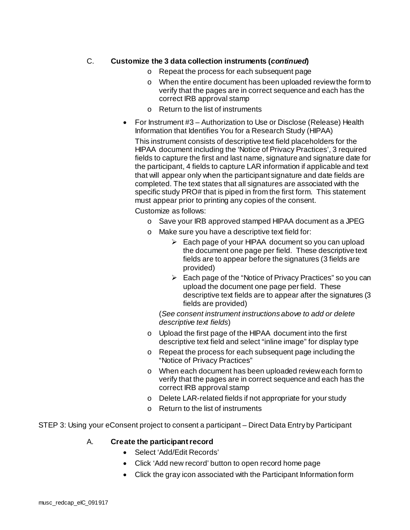## C. **Customize the 3 data collection instruments (***continued***)**

- o Repeat the process for each subsequent page
- o When the entire document has been uploaded review the form to verify that the pages are in correct sequence and each has the correct IRB approval stamp
- o Return to the list of instruments
- For Instrument #3 Authorization to Use or Disclose (Release) Health Information that Identifies You for a Research Study (HIPAA)

This instrument consists of descriptive text field placeholders for the HIPAA document including the 'Notice of Privacy Practices', 3 required fields to capture the first and last name, signature and signature date for the participant, 4 fields to capture LAR information if applicable and text that will appear only when the participant signature and date fields are completed. The text states that all signatures are associated with the specific study PRO# that is piped in from the first form. This statement must appear prior to printing any copies of the consent.

Customize as follows:

- o Save your IRB approved stamped HIPAA document as a JPEG
- o Make sure you have a descriptive text field for:
	- $\triangleright$  Each page of your HIPAA document so you can upload the document one page per field. These descriptive text fields are to appear before the signatures (3 fields are provided)
	- $\triangleright$  Each page of the "Notice of Privacy Practices" so you can upload the document one page per field. These descriptive text fields are to appear after the signatures (3 fields are provided)

(*See consent instrument instructions above to add or delete descriptive text fields*)

- o Upload the first page of the HIPAA document into the first descriptive text field and select "inline image" for display type
- o Repeat the process for each subsequent page including the "Notice of Privacy Practices"
- o When each document has been uploaded review each form to verify that the pages are in correct sequence and each has the correct IRB approval stamp
- o Delete LAR-related fields if not appropriate for your study
- $\circ$  Return to the list of instruments

STEP 3: Using your eConsent project to consent a participant – Direct Data Entry by Participant

#### A. **Create the participant record**

- Select 'Add/Edit Records'
- Click 'Add new record' button to open record home page
- Click the gray icon associated with the Participant Information form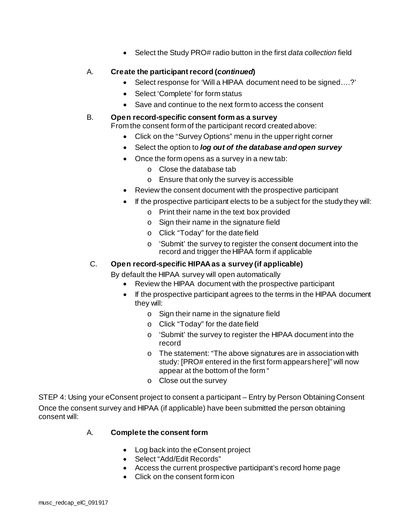• Select the Study PRO# radio button in the first *data collection* field

## A. **Create the participant record (***continued***)**

- Select response for 'Will a HIPAA document need to be signed….?'
- Select 'Complete' for form status
- Save and continue to the next form to access the consent

#### B. **Open record-specific consent form as a survey**

From the consent form of the participant record created above:

- Click on the "Survey Options" menu in the upper right corner
- Select the option to *log out of the database and open survey*
- Once the form opens as a survey in a new tab:
	- o Close the database tab
	- o Ensure that only the survey is accessible
- Review the consent document with the prospective participant
- If the prospective participant elects to be a subject for the study they will:
	- o Print their name in the text box provided
	- o Sign their name in the signature field
	- o Click "Today" for the date field
	- o 'Submit' the survey to register the consent document into the record and trigger the HIPAA form if applicable

## C. **Open record-specific HIPAA as a survey (if applicable)**

By default the HIPAA survey will open automatically

- Review the HIPAA document with the prospective participant
- If the prospective participant agrees to the terms in the HIPAA document they will:
	- o Sign their name in the signature field
	- o Click "Today" for the date field
	- o 'Submit' the survey to register the HIPAA document into the record
	- o The statement: "The above signatures are in association with study: [PRO# entered in the first form appears here]" will now appear at the bottom of the form "
	- o Close out the survey

STEP 4: Using your eConsent project to consent a participant – Entry by Person Obtaining Consent Once the consent survey and HIPAA (if applicable) have been submitted the person obtaining consent will:

#### A. **Complete the consent form**

- Log back into the eConsent project
- Select "Add/Edit Records"
- Access the current prospective participant's record home page
- Click on the consent form icon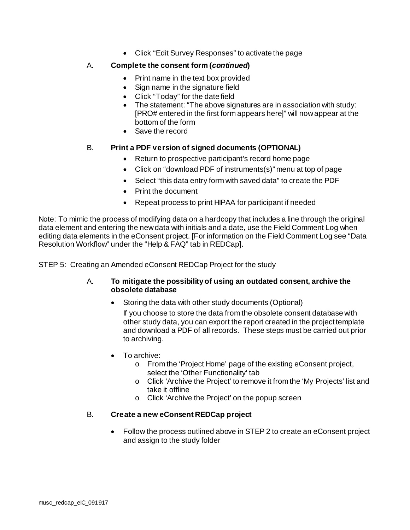• Click "Edit Survey Responses" to activate the page

#### A. **Complete the consent form (***continued***)**

- Print name in the text box provided
- Sign name in the signature field
- Click "Today" for the date field
- The statement: "The above signatures are in association with study: [PRO# entered in the first form appears here]" will now appear at the bottom of the form
- Save the record

#### B. **Print a PDF version of signed documents (OPTIONAL)**

- Return to prospective participant's record home page
- Click on "download PDF of instruments(s)" menu at top of page
- Select "this data entry form with saved data" to create the PDF
- Print the document
- Repeat process to print HIPAA for participant if needed

Note: To mimic the process of modifying data on a hardcopy that includes a line through the original data element and entering the new data with initials and a date, use the Field Comment Log when editing data elements in the eConsent project. [For information on the Field Comment Log see "Data Resolution Workflow" under the "Help & FAQ" tab in REDCap].

STEP 5: Creating an Amended eConsent REDCap Project for the study

#### A. **To mitigate the possibility of using an outdated consent, archive the obsolete database**

• Storing the data with other study documents (Optional)

If you choose to store the data from the obsolete consent database with other study data, you can export the report created in the project template and download a PDF of all records. These steps must be carried out prior to archiving.

- To archive:
	- o From the 'Project Home' page of the existing eConsent project, select the 'Other Functionality' tab
	- o Click 'Archive the Project' to remove it from the 'My Projects' list and take it offline
	- o Click 'Archive the Project' on the popup screen

#### B. **Create a new eConsent REDCap project**

• Follow the process outlined above in STEP 2 to create an eConsent project and assign to the study folder